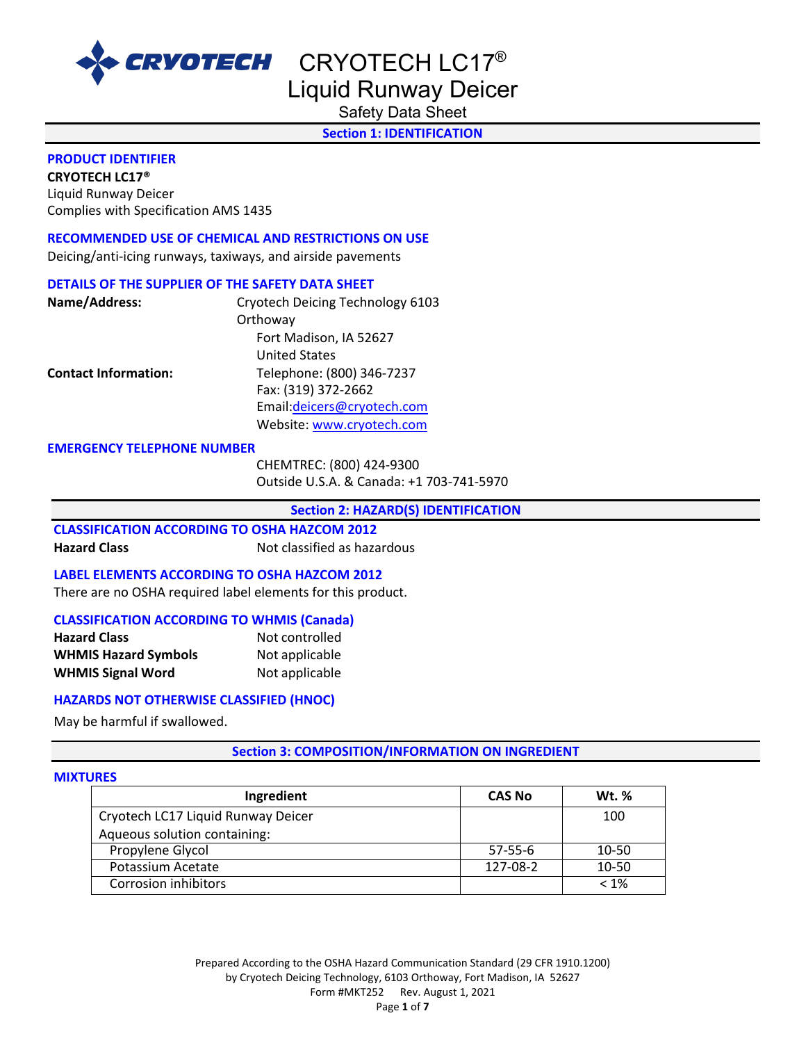

Liquid Runway Deicer

Safety Data Sheet

**Section 1: IDENTIFICATION** 

#### **PRODUCT IDENTIFIER**

**CRYOTECH LC17®** Liquid Runway Deicer Complies with Specification AMS 1435

# **RECOMMENDED USE OF CHEMICAL AND RESTRICTIONS ON USE**

Deicing/anti-icing runways, taxiways, and airside pavements

# **DETAILS OF THE SUPPLIER OF THE SAFETY DATA SHEET**

| Name/Address:               | Cryotech Deicing Technology 6103 |
|-----------------------------|----------------------------------|
|                             | Orthoway                         |
|                             | Fort Madison, IA 52627           |
|                             | <b>United States</b>             |
| <b>Contact Information:</b> | Telephone: (800) 346-7237        |
|                             | Fax: (319) 372-2662              |
|                             | Email:deicers@cryotech.com       |
|                             | Website: www.cryotech.com        |

#### **EMERGENCY TELEPHONE NUMBER**

CHEMTREC: (800) 424-9300 Outside U.S.A. & Canada: +1 703-741-5970

**Section 2: HAZARD(S) IDENTIFICATION** 

# **CLASSIFICATION ACCORDING TO OSHA HAZCOM 2012**

**Hazard Class Not classified as hazardous** 

# **LABEL ELEMENTS ACCORDING TO OSHA HAZCOM 2012**

There are no OSHA required label elements for this product.

# **CLASSIFICATION ACCORDING TO WHMIS (Canada)**

| <b>Hazard Class</b>         | Not controlled |
|-----------------------------|----------------|
| <b>WHMIS Hazard Symbols</b> | Not applicable |
| <b>WHMIS Signal Word</b>    | Not applicable |

# **HAZARDS NOT OTHERWISE CLASSIFIED (HNOC)**

May be harmful if swallowed.

# **Section 3: COMPOSITION/INFORMATION ON INGREDIENT**

# **MIXTURES**

| Ingredient                         | <b>CAS No</b> | <b>Wt.</b> % |
|------------------------------------|---------------|--------------|
| Cryotech LC17 Liquid Runway Deicer |               | 100          |
| Aqueous solution containing:       |               |              |
| Propylene Glycol                   | $57-55-6$     | 10-50        |
| Potassium Acetate                  | 127-08-2      | 10-50        |
| Corrosion inhibitors               |               | $< 1\%$      |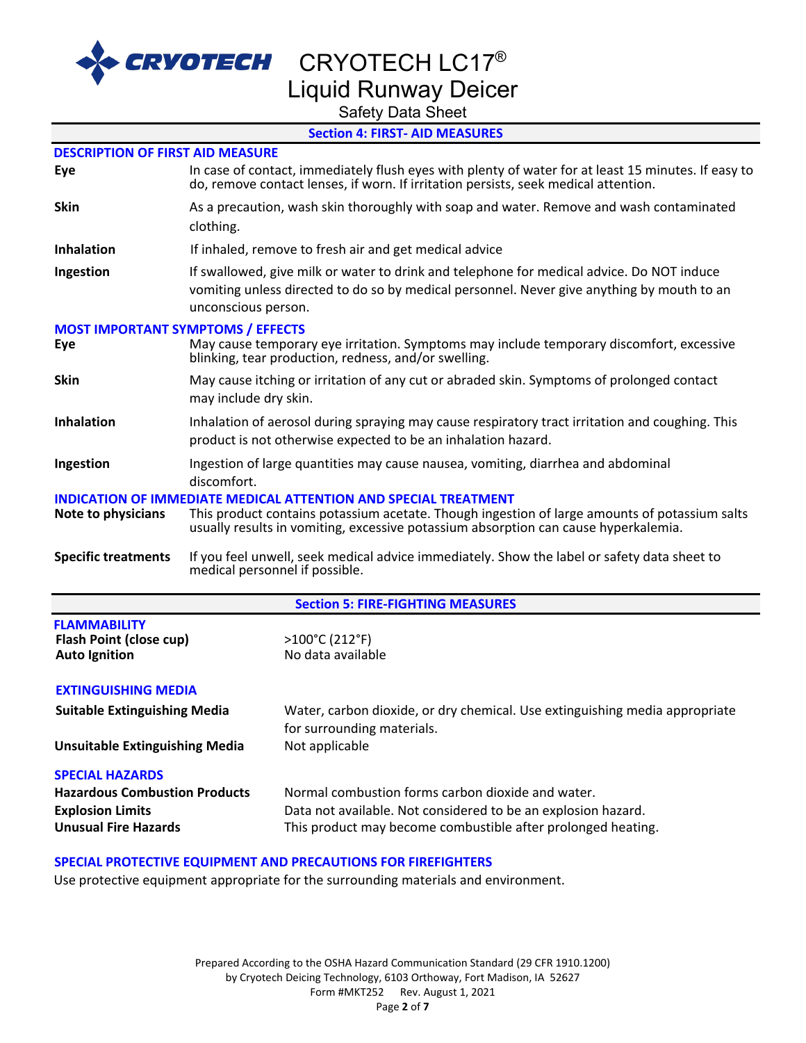

# Liquid Runway Deicer

Safety Data Sheet

# **Section 4: FIRST- AID MEASURES**

| <b>DESCRIPTION OF FIRST AID MEASURE</b>                                |                                                                                                                                                                                                                                                                |                                                                                                                                                                                            |  |  |  |  |
|------------------------------------------------------------------------|----------------------------------------------------------------------------------------------------------------------------------------------------------------------------------------------------------------------------------------------------------------|--------------------------------------------------------------------------------------------------------------------------------------------------------------------------------------------|--|--|--|--|
| Eye                                                                    |                                                                                                                                                                                                                                                                | In case of contact, immediately flush eyes with plenty of water for at least 15 minutes. If easy to<br>do, remove contact lenses, if worn. If irritation persists, seek medical attention. |  |  |  |  |
| <b>Skin</b>                                                            |                                                                                                                                                                                                                                                                | As a precaution, wash skin thoroughly with soap and water. Remove and wash contaminated                                                                                                    |  |  |  |  |
|                                                                        | clothing.                                                                                                                                                                                                                                                      |                                                                                                                                                                                            |  |  |  |  |
| <b>Inhalation</b>                                                      |                                                                                                                                                                                                                                                                | If inhaled, remove to fresh air and get medical advice                                                                                                                                     |  |  |  |  |
| Ingestion                                                              | unconscious person.                                                                                                                                                                                                                                            | If swallowed, give milk or water to drink and telephone for medical advice. Do NOT induce<br>vomiting unless directed to do so by medical personnel. Never give anything by mouth to an    |  |  |  |  |
| <b>MOST IMPORTANT SYMPTOMS / EFFECTS</b><br>Eye                        |                                                                                                                                                                                                                                                                | May cause temporary eye irritation. Symptoms may include temporary discomfort, excessive<br>blinking, tear production, redness, and/or swelling.                                           |  |  |  |  |
| <b>Skin</b>                                                            | may include dry skin.                                                                                                                                                                                                                                          | May cause itching or irritation of any cut or abraded skin. Symptoms of prolonged contact                                                                                                  |  |  |  |  |
| <b>Inhalation</b>                                                      | Inhalation of aerosol during spraying may cause respiratory tract irritation and coughing. This<br>product is not otherwise expected to be an inhalation hazard.                                                                                               |                                                                                                                                                                                            |  |  |  |  |
| Ingestion                                                              | Ingestion of large quantities may cause nausea, vomiting, diarrhea and abdominal<br>discomfort.                                                                                                                                                                |                                                                                                                                                                                            |  |  |  |  |
| Note to physicians                                                     | <b>INDICATION OF IMMEDIATE MEDICAL ATTENTION AND SPECIAL TREATMENT</b><br>This product contains potassium acetate. Though ingestion of large amounts of potassium salts<br>usually results in vomiting, excessive potassium absorption can cause hyperkalemia. |                                                                                                                                                                                            |  |  |  |  |
| <b>Specific treatments</b>                                             | If you feel unwell, seek medical advice immediately. Show the label or safety data sheet to<br>medical personnel if possible.                                                                                                                                  |                                                                                                                                                                                            |  |  |  |  |
|                                                                        |                                                                                                                                                                                                                                                                | <b>Section 5: FIRE-FIGHTING MEASURES</b>                                                                                                                                                   |  |  |  |  |
| <b>FLAMMABILITY</b><br>Flash Point (close cup)<br><b>Auto Ignition</b> |                                                                                                                                                                                                                                                                | >100°C (212°F)<br>No data available                                                                                                                                                        |  |  |  |  |
| <b>EXTINGUISHING MEDIA</b>                                             |                                                                                                                                                                                                                                                                |                                                                                                                                                                                            |  |  |  |  |
| <b>Suitable Extinguishing Media</b>                                    |                                                                                                                                                                                                                                                                | Water, carbon dioxide, or dry chemical. Use extinguishing media appropriate<br>for surrounding materials.                                                                                  |  |  |  |  |
| <b>Unsuitable Extinguishing Media</b>                                  |                                                                                                                                                                                                                                                                | Not applicable                                                                                                                                                                             |  |  |  |  |
| <b>SPECIAL HAZARDS</b>                                                 |                                                                                                                                                                                                                                                                |                                                                                                                                                                                            |  |  |  |  |
| <b>Hazardous Combustion Products</b>                                   |                                                                                                                                                                                                                                                                | Normal combustion forms carbon dioxide and water.                                                                                                                                          |  |  |  |  |
| <b>Explosion Limits</b>                                                |                                                                                                                                                                                                                                                                | Data not available. Not considered to be an explosion hazard.                                                                                                                              |  |  |  |  |
| <b>Unusual Fire Hazards</b>                                            |                                                                                                                                                                                                                                                                | This product may become combustible after prolonged heating.                                                                                                                               |  |  |  |  |

# **SPECIAL PROTECTIVE EQUIPMENT AND PRECAUTIONS FOR FIREFIGHTERS**

Use protective equipment appropriate for the surrounding materials and environment.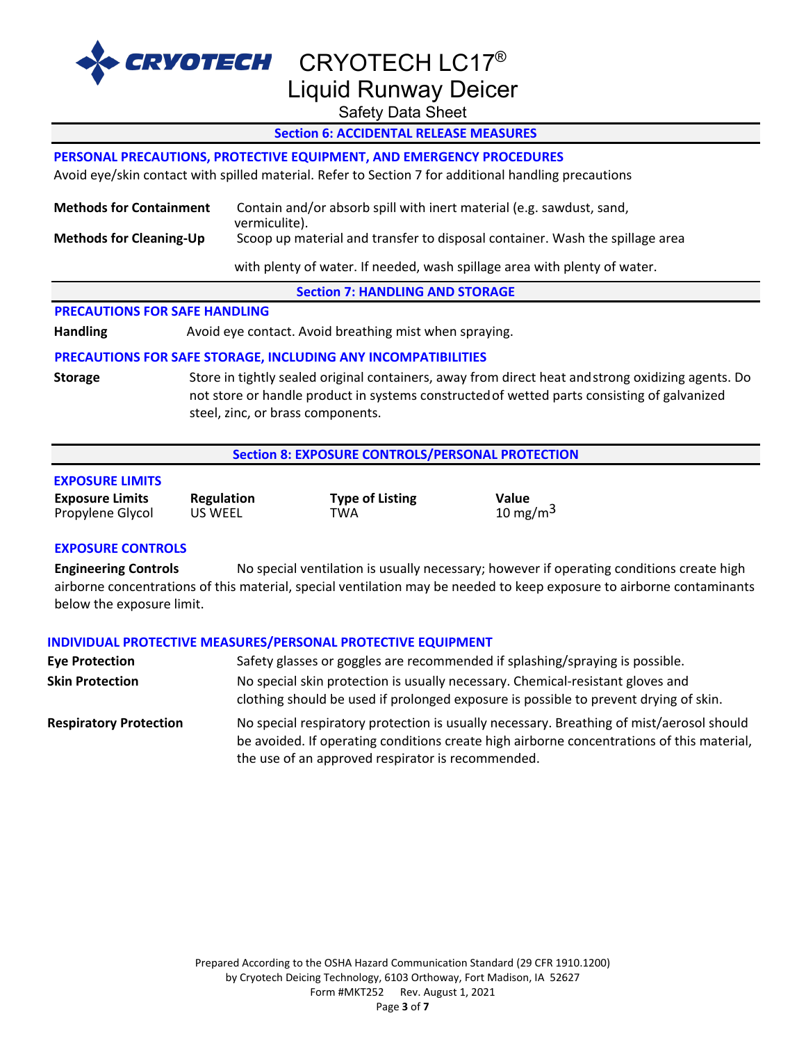

RVOTECH CRYOTECH LC17® Liquid Runway Deicer

Safety Data Sheet

# **Section 6: ACCIDENTAL RELEASE MEASURES**

#### **PERSONAL PRECAUTIONS, PROTECTIVE EQUIPMENT, AND EMERGENCY PROCEDURES**

Avoid eye/skin contact with spilled material. Refer to Section 7 for additional handling precautions

| <b>Methods for Containment</b> | Contain and/or absorb spill with inert material (e.g. sawdust, sand,<br>vermiculite). |
|--------------------------------|---------------------------------------------------------------------------------------|
| <b>Methods for Cleaning-Up</b> | Scoop up material and transfer to disposal container. Wash the spillage area          |
|                                | with plenty of water. If needed, wash spillage area with plenty of water.             |

**Section 7: HANDLING AND STORAGE** 

### **PRECAUTIONS FOR SAFE HANDLING**

Handling **Handling** Avoid eye contact. Avoid breathing mist when spraying.

#### **PRECAUTIONS FOR SAFE STORAGE, INCLUDING ANY INCOMPATIBILITIES**

**Storage** Store in tightly sealed original containers, away from direct heat andstrong oxidizing agents. Do not store or handle product in systems constructedof wetted parts consisting of galvanized steel, zinc, or brass components.

#### **Section 8: EXPOSURE CONTROLS/PERSONAL PROTECTION**

| <b>Exposure Limits</b> | Regulation | <b>Type of Listing</b> | Value        |
|------------------------|------------|------------------------|--------------|
| Propylene Glycol       | US WEEL    | TWA                    | 10 mg/m $^3$ |

#### **EXPOSURE CONTROLS**

**EXPOSURE LIMITS**

**Engineering Controls** No special ventilation is usually necessary; however if operating conditions create high airborne concentrations of this material, special ventilation may be needed to keep exposure to airborne contaminants below the exposure limit.

#### **INDIVIDUAL PROTECTIVE MEASURES/PERSONAL PROTECTIVE EQUIPMENT**

| <b>Eye Protection</b>         | Safety glasses or goggles are recommended if splashing/spraying is possible.                                                                                                                                                               |
|-------------------------------|--------------------------------------------------------------------------------------------------------------------------------------------------------------------------------------------------------------------------------------------|
| <b>Skin Protection</b>        | No special skin protection is usually necessary. Chemical-resistant gloves and<br>clothing should be used if prolonged exposure is possible to prevent drying of skin.                                                                     |
| <b>Respiratory Protection</b> | No special respiratory protection is usually necessary. Breathing of mist/aerosol should<br>be avoided. If operating conditions create high airborne concentrations of this material,<br>the use of an approved respirator is recommended. |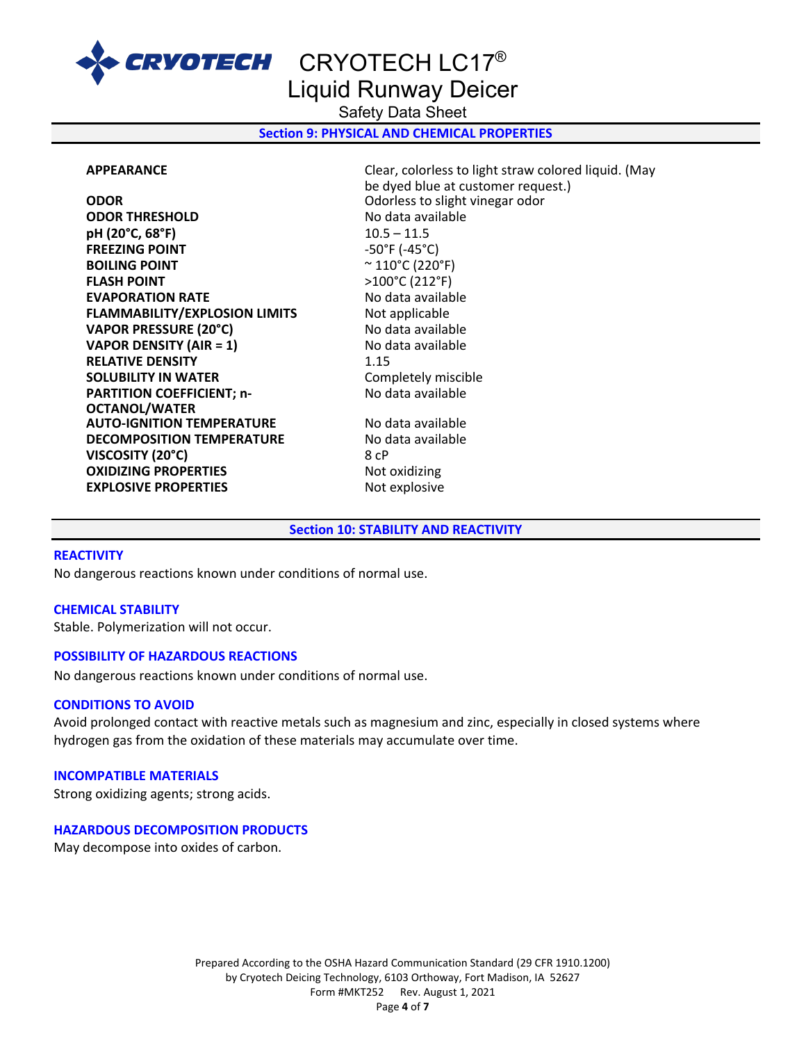

Liquid Runway Deicer

Safety Data Sheet

**Section 9: PHYSICAL AND CHEMICAL PROPERTIES** 

**ODOR** Odorless to slight vinegar odor **ODOR THRESHOLD** No data available **pH (20°C, 68°F)** 10.5 – 11.5 **FREEZING POINT** -50°F (-45°C) **BOILING POINT**  $\sim$  110°C (220°F) **FLASH POINT** >100°C (212°F) **EVAPORATION RATE** No data available **FLAMMABILITY/EXPLOSION LIMITS** Not applicable **VAPOR PRESSURE (20°C)** No data available **VAPOR DENSITY (AIR = 1)** No data available **RELATIVE DENSITY** 1.15 **SOLUBILITY IN WATER** Completely miscible **PARTITION COEFFICIENT; n-OCTANOL/WATER AUTO-IGNITION TEMPERATURE** No data available **DECOMPOSITION TEMPERATURE** No data available **VISCOSITY (20°C)** 8 cP **OXIDIZING PROPERTIES** Not oxidizing **EXPLOSIVE PROPERTIES** Not explosive

**APPEARANCE** Clear, colorless to light straw colored liquid. (May be dyed blue at customer request.) No data available

#### **Section 10: STABILITY AND REACTIVITY**

#### **REACTIVITY**

No dangerous reactions known under conditions of normal use.

#### **CHEMICAL STABILITY**

Stable. Polymerization will not occur.

#### **POSSIBILITY OF HAZARDOUS REACTIONS**

No dangerous reactions known under conditions of normal use.

# **CONDITIONS TO AVOID**

Avoid prolonged contact with reactive metals such as magnesium and zinc, especially in closed systems where hydrogen gas from the oxidation of these materials may accumulate over time.

#### **INCOMPATIBLE MATERIALS**

Strong oxidizing agents; strong acids.

#### **HAZARDOUS DECOMPOSITION PRODUCTS**

May decompose into oxides of carbon.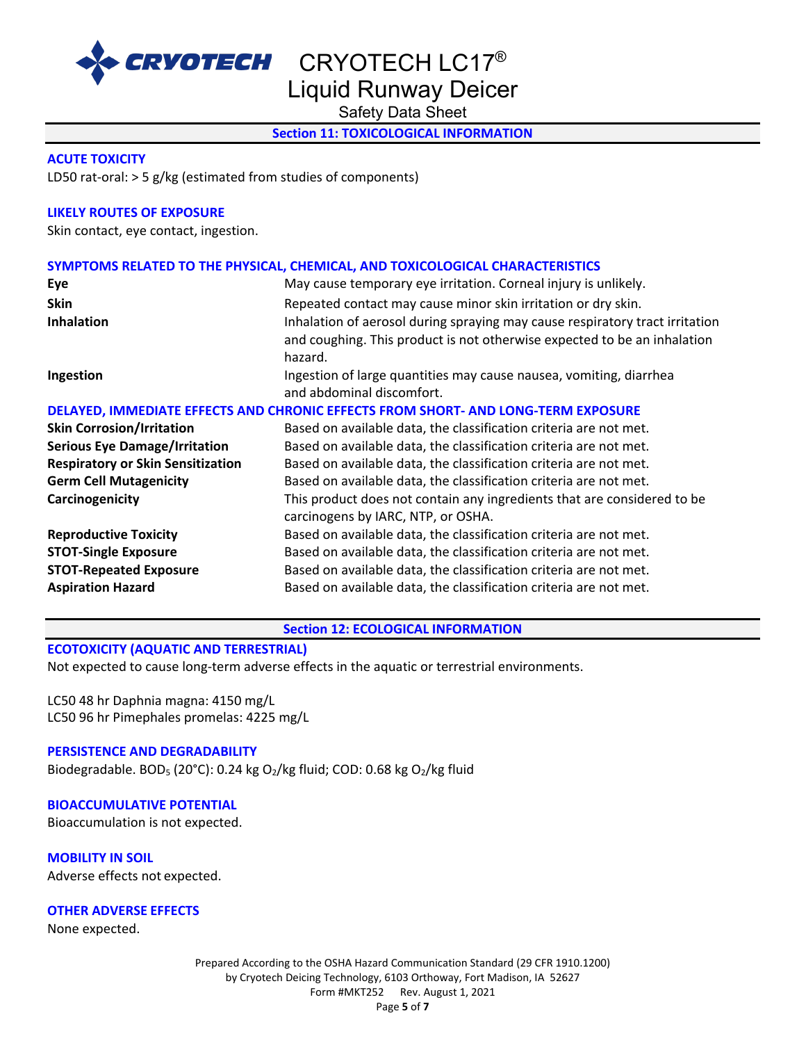

Liquid Runway Deicer

Safety Data Sheet

# **Section 11: TOXICOLOGICAL INFORMATION**

### **ACUTE TOXICITY**

LD50 rat-oral: > 5 g/kg (estimated from studies of components)

# **LIKELY ROUTES OF EXPOSURE**

Skin contact, eye contact, ingestion.

# **SYMPTOMS RELATED TO THE PHYSICAL, CHEMICAL, AND TOXICOLOGICAL CHARACTERISTICS**

| Eye                                      | May cause temporary eye irritation. Corneal injury is unlikely.                                                                                                     |
|------------------------------------------|---------------------------------------------------------------------------------------------------------------------------------------------------------------------|
| <b>Skin</b>                              | Repeated contact may cause minor skin irritation or dry skin.                                                                                                       |
| <b>Inhalation</b>                        | Inhalation of aerosol during spraying may cause respiratory tract irritation<br>and coughing. This product is not otherwise expected to be an inhalation<br>hazard. |
| Ingestion                                | Ingestion of large quantities may cause nausea, vomiting, diarrhea<br>and abdominal discomfort.                                                                     |
|                                          | DELAYED, IMMEDIATE EFFECTS AND CHRONIC EFFECTS FROM SHORT- AND LONG-TERM EXPOSURE                                                                                   |
| <b>Skin Corrosion/Irritation</b>         | Based on available data, the classification criteria are not met.                                                                                                   |
| <b>Serious Eye Damage/Irritation</b>     | Based on available data, the classification criteria are not met.                                                                                                   |
| <b>Respiratory or Skin Sensitization</b> | Based on available data, the classification criteria are not met.                                                                                                   |
| <b>Germ Cell Mutagenicity</b>            | Based on available data, the classification criteria are not met.                                                                                                   |
| Carcinogenicity                          | This product does not contain any ingredients that are considered to be<br>carcinogens by IARC, NTP, or OSHA.                                                       |
| <b>Reproductive Toxicity</b>             | Based on available data, the classification criteria are not met.                                                                                                   |
| <b>STOT-Single Exposure</b>              | Based on available data, the classification criteria are not met.                                                                                                   |
| <b>STOT-Repeated Exposure</b>            | Based on available data, the classification criteria are not met.                                                                                                   |
| <b>Aspiration Hazard</b>                 | Based on available data, the classification criteria are not met.                                                                                                   |

**Section 12: ECOLOGICAL INFORMATION** 

# **ECOTOXICITY (AQUATIC AND TERRESTRIAL)**

Not expected to cause long-term adverse effects in the aquatic or terrestrial environments.

LC50 48 hr Daphnia magna: 4150 mg/L LC50 96 hr Pimephales promelas: 4225 mg/L

# **PERSISTENCE AND DEGRADABILITY**

Biodegradable. BOD<sub>5</sub> (20°C): 0.24 kg O<sub>2</sub>/kg fluid; COD: 0.68 kg O<sub>2</sub>/kg fluid

# **BIOACCUMULATIVE POTENTIAL**

Bioaccumulation is not expected.

**MOBILITY IN SOIL** Adverse effects not expected.

# **OTHER ADVERSE EFFECTS**

None expected.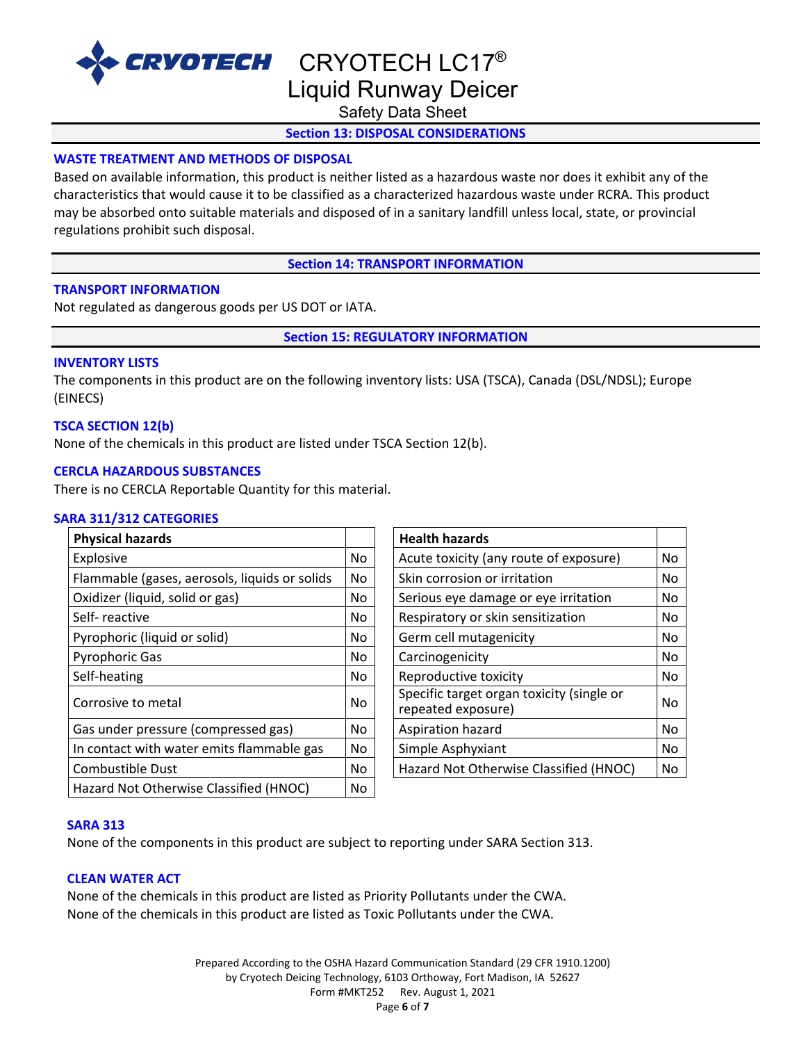

CRYOTECH CRYOTECH LC17<sup>®</sup> Liquid Runway Deicer

Safety Data Sheet

# **Section 13: DISPOSAL CONSIDERATIONS**

# **WASTE TREATMENT AND METHODS OF DISPOSAL**

Based on available information, this product is neither listed as a hazardous waste nor does it exhibit any of the characteristics that would cause it to be classified as a characterized hazardous waste under RCRA. This product may be absorbed onto suitable materials and disposed of in a sanitary landfill unless local, state, or provincial regulations prohibit such disposal.

**Section 14: TRANSPORT INFORMATION**

### **TRANSPORT INFORMATION**

Not regulated as dangerous goods per US DOT or IATA.

**Section 15: REGULATORY INFORMATION**

#### **INVENTORY LISTS**

The components in this product are on the following inventory lists: USA (TSCA), Canada (DSL/NDSL); Europe (EINECS)

### **TSCA SECTION 12(b)**

None of the chemicals in this product are listed under TSCA Section 12(b).

#### **CERCLA HAZARDOUS SUBSTANCES**

There is no CERCLA Reportable Quantity for this material.

#### **SARA 311/312 CATEGORIES**

| <b>Physical hazards</b>                       |     | <b>Health hazards</b>                                           |    |
|-----------------------------------------------|-----|-----------------------------------------------------------------|----|
| Explosive                                     | No  | Acute toxicity (any route of exposure)                          | No |
| Flammable (gases, aerosols, liquids or solids | No  | Skin corrosion or irritation                                    | No |
| Oxidizer (liquid, solid or gas)               | No  | Serious eye damage or eye irritation                            | No |
| Self-reactive                                 | No  | Respiratory or skin sensitization                               | No |
| Pyrophoric (liquid or solid)                  | No. | Germ cell mutagenicity                                          | No |
| <b>Pyrophoric Gas</b>                         | No  | Carcinogenicity                                                 | No |
| Self-heating                                  | No  | Reproductive toxicity                                           | No |
| Corrosive to metal                            | No. | Specific target organ toxicity (single or<br>repeated exposure) | No |
| Gas under pressure (compressed gas)           | No. | Aspiration hazard                                               | No |
| In contact with water emits flammable gas     | No  | Simple Asphyxiant                                               | No |
| <b>Combustible Dust</b>                       | No. | Hazard Not Otherwise Classified (HNOC)                          | No |
| Hazard Not Otherwise Classified (HNOC)        | No  |                                                                 |    |

| <b>Health hazards</b>                                           |    |
|-----------------------------------------------------------------|----|
| Acute toxicity (any route of exposure)                          | No |
| Skin corrosion or irritation                                    | No |
| Serious eye damage or eye irritation                            | No |
| Respiratory or skin sensitization                               | No |
| Germ cell mutagenicity                                          | No |
| Carcinogenicity                                                 | No |
| Reproductive toxicity                                           | No |
| Specific target organ toxicity (single or<br>repeated exposure) | No |
| Aspiration hazard                                               | No |
| Simple Asphyxiant                                               | No |
| Hazard Not Otherwise Classified (HNOC)                          | No |

#### **SARA 313**

None of the components in this product are subject to reporting under SARA Section 313.

# **CLEAN WATER ACT**

None of the chemicals in this product are listed as Priority Pollutants under the CWA. None of the chemicals in this product are listed as Toxic Pollutants under the CWA.